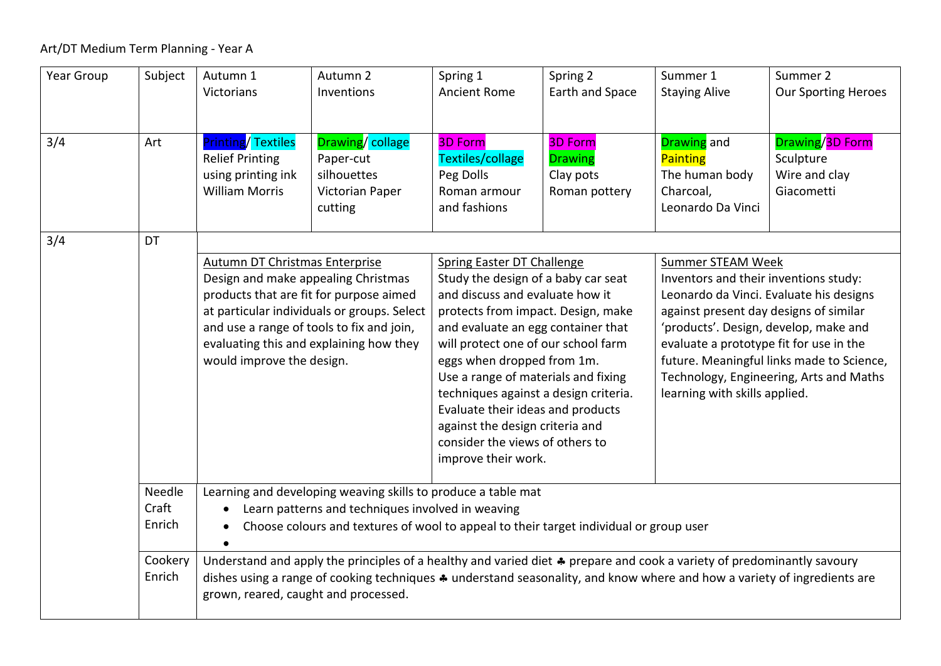## Art/DT Medium Term Planning - Year A

| <b>Year Group</b> | Subject                   | Autumn 1                                                                                                                                                                                                                                                                                     | Autumn 2                                                                   | Spring 1                                                                                                                                                                                                                                                                                                                                                                                                                                                                       | Spring 2                                                       | Summer 1                                                                                                                                                                                                                                                                                                                                                            | Summer 2                                                    |  |  |
|-------------------|---------------------------|----------------------------------------------------------------------------------------------------------------------------------------------------------------------------------------------------------------------------------------------------------------------------------------------|----------------------------------------------------------------------------|--------------------------------------------------------------------------------------------------------------------------------------------------------------------------------------------------------------------------------------------------------------------------------------------------------------------------------------------------------------------------------------------------------------------------------------------------------------------------------|----------------------------------------------------------------|---------------------------------------------------------------------------------------------------------------------------------------------------------------------------------------------------------------------------------------------------------------------------------------------------------------------------------------------------------------------|-------------------------------------------------------------|--|--|
|                   |                           | Victorians                                                                                                                                                                                                                                                                                   | Inventions                                                                 | <b>Ancient Rome</b>                                                                                                                                                                                                                                                                                                                                                                                                                                                            | Earth and Space                                                | <b>Staying Alive</b>                                                                                                                                                                                                                                                                                                                                                | Our Sporting Heroes                                         |  |  |
|                   |                           |                                                                                                                                                                                                                                                                                              |                                                                            |                                                                                                                                                                                                                                                                                                                                                                                                                                                                                |                                                                |                                                                                                                                                                                                                                                                                                                                                                     |                                                             |  |  |
| 3/4               | Art                       | <b>Printing/ Textiles</b><br><b>Relief Printing</b><br>using printing ink<br><b>William Morris</b>                                                                                                                                                                                           | Drawing/ collage<br>Paper-cut<br>silhouettes<br>Victorian Paper<br>cutting | <b>3D Form</b><br><b>Textiles/collage</b><br>Peg Dolls<br>Roman armour<br>and fashions                                                                                                                                                                                                                                                                                                                                                                                         | <b>3D Form</b><br><b>Drawing</b><br>Clay pots<br>Roman pottery | <b>Drawing</b> and<br>Painting<br>The human body<br>Charcoal,<br>Leonardo Da Vinci                                                                                                                                                                                                                                                                                  | Drawing/3D Form<br>Sculpture<br>Wire and clay<br>Giacometti |  |  |
| 3/4               | <b>DT</b>                 |                                                                                                                                                                                                                                                                                              |                                                                            |                                                                                                                                                                                                                                                                                                                                                                                                                                                                                |                                                                |                                                                                                                                                                                                                                                                                                                                                                     |                                                             |  |  |
|                   |                           | Autumn DT Christmas Enterprise<br>Design and make appealing Christmas<br>products that are fit for purpose aimed<br>at particular individuals or groups. Select<br>and use a range of tools to fix and join,<br>evaluating this and explaining how they<br>would improve the design.         |                                                                            | <b>Spring Easter DT Challenge</b><br>Study the design of a baby car seat<br>and discuss and evaluate how it<br>protects from impact. Design, make<br>and evaluate an egg container that<br>will protect one of our school farm<br>eggs when dropped from 1m.<br>Use a range of materials and fixing<br>techniques against a design criteria.<br>Evaluate their ideas and products<br>against the design criteria and<br>consider the views of others to<br>improve their work. |                                                                | <b>Summer STEAM Week</b><br>Inventors and their inventions study:<br>Leonardo da Vinci. Evaluate his designs<br>against present day designs of similar<br>'products'. Design, develop, make and<br>evaluate a prototype fit for use in the<br>future. Meaningful links made to Science,<br>Technology, Engineering, Arts and Maths<br>learning with skills applied. |                                                             |  |  |
|                   | Needle<br>Craft<br>Enrich | Learning and developing weaving skills to produce a table mat<br>Learn patterns and techniques involved in weaving<br>Choose colours and textures of wool to appeal to their target individual or group user                                                                                 |                                                                            |                                                                                                                                                                                                                                                                                                                                                                                                                                                                                |                                                                |                                                                                                                                                                                                                                                                                                                                                                     |                                                             |  |  |
|                   | Cookery<br>Enrich         | Understand and apply the principles of a healthy and varied diet * prepare and cook a variety of predominantly savoury<br>dishes using a range of cooking techniques $*$ understand seasonality, and know where and how a variety of ingredients are<br>grown, reared, caught and processed. |                                                                            |                                                                                                                                                                                                                                                                                                                                                                                                                                                                                |                                                                |                                                                                                                                                                                                                                                                                                                                                                     |                                                             |  |  |